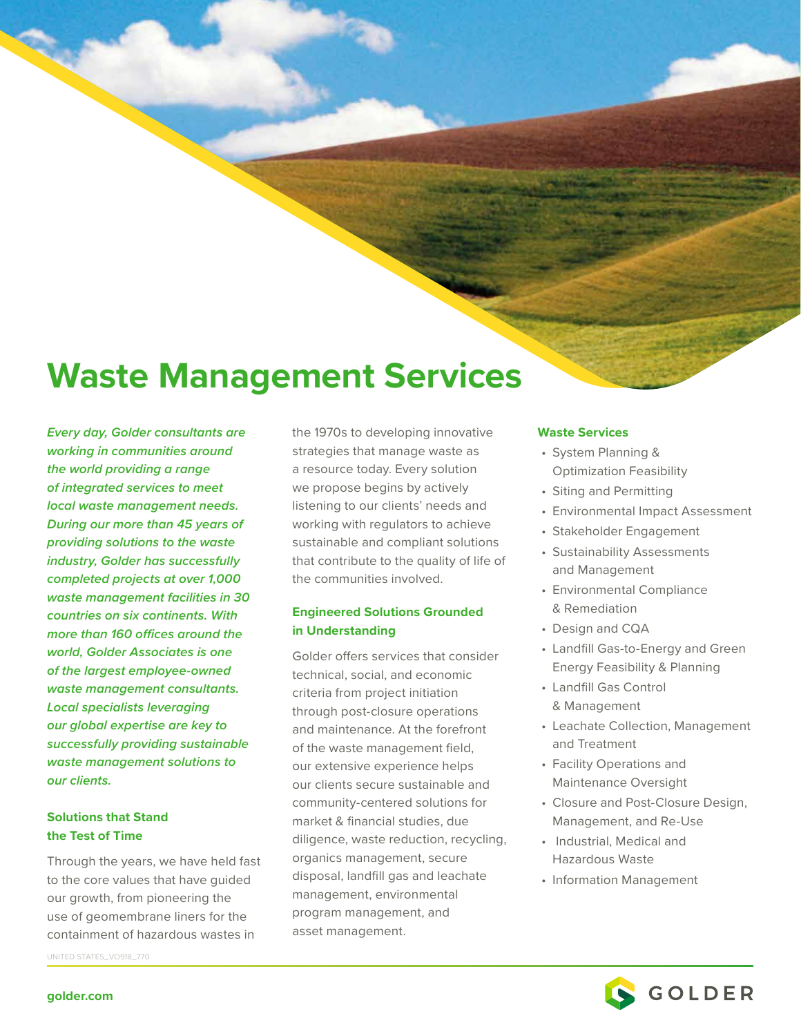# **Waste Management Services**

*Every day, Golder consultants are working in communities around the world providing a range of integrated services to meet local waste management needs. During our more than 45 years of providing solutions to the waste industry, Golder has successfully completed projects at over 1,000 waste management facilities in 30 countries on six continents. With more than 160 offices around the world, Golder Associates is one of the largest employee-owned waste management consultants. Local specialists leveraging our global expertise are key to successfully providing sustainable waste management solutions to our clients.*

## **Solutions that Stand the Test of Time**

Through the years, we have held fast to the core values that have guided our growth, from pioneering the use of geomembrane liners for the containment of hazardous wastes in

UNITED STATES\_VO918\_770

the 1970s to developing innovative strategies that manage waste as a resource today. Every solution we propose begins by actively listening to our clients' needs and working with regulators to achieve sustainable and compliant solutions that contribute to the quality of life of the communities involved.

## **Engineered Solutions Grounded in Understanding**

Golder offers services that consider technical, social, and economic criteria from project initiation through post-closure operations and maintenance. At the forefront of the waste management field, our extensive experience helps our clients secure sustainable and community-centered solutions for market & financial studies, due diligence, waste reduction, recycling, organics management, secure disposal, landfill gas and leachate management, environmental program management, and asset management.

#### **Waste Services**

- System Planning & Optimization Feasibility
- Siting and Permitting
- Environmental Impact Assessment
- Stakeholder Engagement
- Sustainability Assessments and Management
- Environmental Compliance & Remediation
- Design and CQA
- Landfill Gas-to-Energy and Green Energy Feasibility & Planning
- Landfill Gas Control & Management
- Leachate Collection, Management and Treatment
- Facility Operations and Maintenance Oversight
- Closure and Post-Closure Design, Management, and Re-Use
- Industrial, Medical and Hazardous Waste
- Information Management